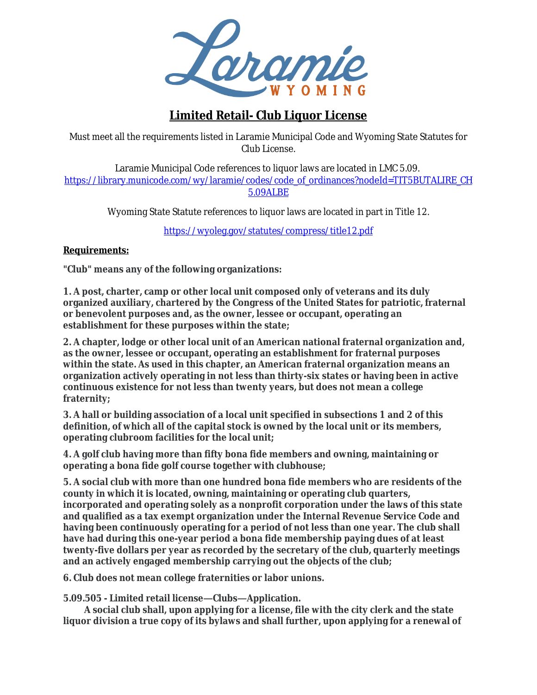

# **Limited Retail- Club Liquor License**

 Must meet all the requirements listed in Laramie Municipal Code and Wyoming State Statutes for Club License.

Laramie Municipal Code references to liquor laws are located in LMC 5.09. https://library.municode.com/wy/laramie/codes/code\_of\_ordinances?nodeId=TIT5BUTALIRE\_CH 5.09ALBE

Wyoming State Statute references to liquor laws are located in part in Title 12.

<https://wyoleg.gov/statutes/compress/title12.pdf>

#### **Requirements:**

**"Club" means any of the following organizations:**

**1. A post, charter, camp or other local unit composed only of veterans and its duly organized auxiliary, chartered by the Congress of the United States for patriotic, fraternal or benevolent purposes and, as the owner, lessee or occupant, operating an establishment for these purposes within the state;**

**2. A chapter, lodge or other local unit of an American national fraternal organization and, as the owner, lessee or occupant, operating an establishment for fraternal purposes within the state. As used in this chapter, an American fraternal organization means an organization actively operating in not less than thirty-six states or having been in active continuous existence for not less than twenty years, but does not mean a college fraternity;**

**3. A hall or building association of a local unit specified in subsections 1 and 2 of this definition, of which all of the capital stock is owned by the local unit or its members, operating clubroom facilities for the local unit;**

**4. A golf club having more than fifty bona fide members and owning, maintaining or operating a bona fide golf course together with clubhouse;**

**5. A social club with more than one hundred bona fide members who are residents of the county in which it is located, owning, maintaining or operating club quarters, incorporated and operating solely as a nonprofit corporation under the laws of this state and qualified as a tax exempt organization under the Internal Revenue Service Code and having been continuously operating for a period of not less than one year. The club shall have had during this one-year period a bona fide membership paying dues of at least twenty-five dollars per year as recorded by the secretary of the club, quarterly meetings and an actively engaged membership carrying out the objects of the club;**

**6. Club does not mean college fraternities or labor unions.**

**5.09.505 - Limited retail license—Clubs—Application.**

**A social club shall, upon applying for a license, file with the city clerk and the state liquor division a true copy of its bylaws and shall further, upon applying for a renewal of**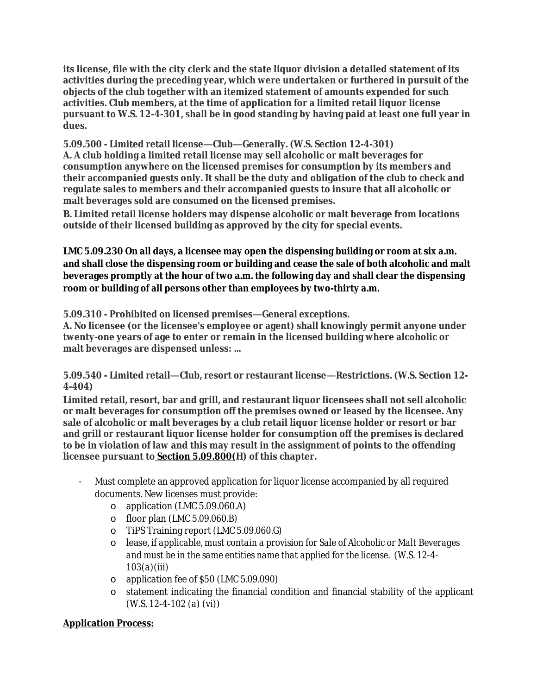**its license, file with the city clerk and the state liquor division a detailed statement of its activities during the preceding year, which were undertaken or furthered in pursuit of the objects of the club together with an itemized statement of amounts expended for such activities. Club members, at the time of application for a limited retail liquor license pursuant to W.S. 12-4-301, shall be in good standing by having paid at least one full year in dues.**

**5.09.500 - Limited retail license—Club—Generally. (W.S. Section 12-4-301) A. A club holding a limited retail license may sell alcoholic or malt beverages for consumption anywhere on the licensed premises for consumption by its members and their accompanied guests only. It shall be the duty and obligation of the club to check and regulate sales to members and their accompanied guests to insure that all alcoholic or malt beverages sold are consumed on the licensed premises.**

**B. Limited retail license holders may dispense alcoholic or malt beverage from locations outside of their licensed building as approved by the city for special events.**

**LMC 5.09.230 On all days, a licensee may open the dispensing building or room at six a.m. and shall close the dispensing room or building and cease the sale of both alcoholic and malt beverages promptly at the hour of two a.m. the following day and shall clear the dispensing room or building of all persons other than employees by two-thirty a.m.**

**5.09.310 - Prohibited on licensed premises—General exceptions.**

**A. No licensee (or the licensee's employee or agent) shall knowingly permit anyone under twenty-one years of age to enter or remain in the licensed building where alcoholic or malt beverages are dispensed unless: …**

**5.09.540 - Limited retail—Club, resort or restaurant license—Restrictions. (W.S. Section 12- 4-404)**

**Limited retail, resort, bar and grill, and restaurant liquor licensees shall not sell alcoholic or malt beverages for consumption off the premises owned or leased by the licensee. Any sale of alcoholic or malt beverages by a club retail liquor license holder or resort or bar and grill or restaurant liquor license holder for consumption off the premises is declared to be in violation of law and this may result in the assignment of points to the offending licensee pursuant to Section [5.09.800](https://library.municode.com/wy/laramie/codes/code_of_ordinances?nodeId=TIT5BUTALIRE_CH5.09ALBE_5.09.800POSYALBELIVISU)(H) of this chapter.**

- Must complete an approved application for liquor license accompanied by all required documents. New licenses must provide:
	- o application (LMC 5.09.060.A)
	- o floor plan (*LMC 5.09.060.B)*
	- o TiPS Training report *(LMC 5.09.060.G)*
	- o lease, *if applicable, must contain a provision for Sale of Alcoholic or Malt Beverages and must be in the same entities name that applied for the license. (W.S. 12-4- 103(a)(iii)*
	- o application fee of \$50 *(LMC 5.09.090)*
	- o statement indicating the financial condition and financial stability of the applicant *(W.S. 12-4-102 (a) (vi))*

#### **Application Process:**